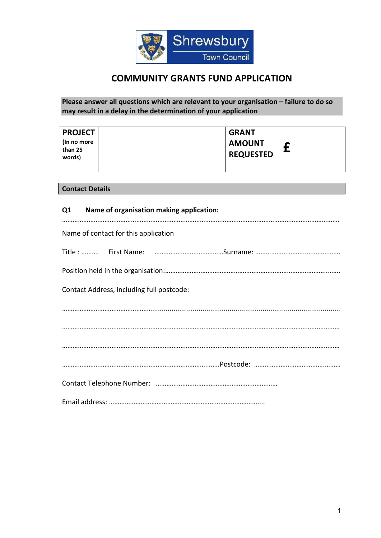

# **COMMUNITY GRANTS FUND APPLICATION**

**Please answer all questions which are relevant to your organisation – failure to do so may result in a delay in the determination of your application**

| <b>PROJECT</b>                   | <b>GRANT</b>                      |  |
|----------------------------------|-----------------------------------|--|
| (In no more<br>than 25<br>words) | <b>AMOUNT</b><br><b>REQUESTED</b> |  |

**Contact Details**

| Q1 Name of organisation making application: |
|---------------------------------------------|
| Name of contact for this application        |
|                                             |
|                                             |
| Contact Address, including full postcode:   |
|                                             |
|                                             |
|                                             |
|                                             |
|                                             |
|                                             |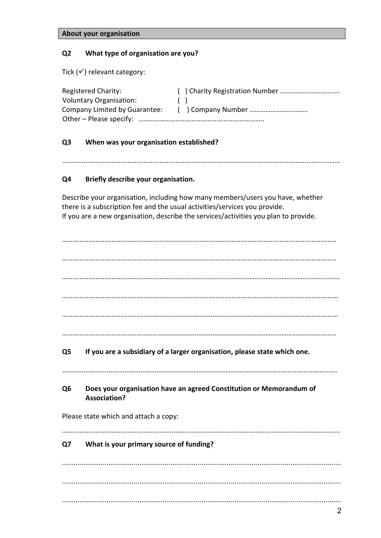|  | About your organisation |
|--|-------------------------|
|--|-------------------------|

# **Q2 What type of organisation are you?**

Tick  $($ ) relevant category:

| <b>Registered Charity:</b>     |                        |
|--------------------------------|------------------------|
| <b>Voluntary Organisation:</b> | $\left( \quad \right)$ |
| Company Limited by Guarantee:  |                        |
|                                |                        |

#### **Q3 When was your organisation established?**

………………………………………………………………………………………………………………………….………………

#### **Q4 Briefly describe your organisation.**

Describe your organisation, including how many members/users you have, whether there is a subscription fee and the usual activities/services you provide. If you are a new organisation, describe the services/activities you plan to provide.

|                |                                                                                            | 2 |
|----------------|--------------------------------------------------------------------------------------------|---|
|                |                                                                                            |   |
| Q7             | What is your primary source of funding?                                                    |   |
|                | Please state which and attach a copy:                                                      |   |
| Q <sub>6</sub> | Does your organisation have an agreed Constitution or Memorandum of<br><b>Association?</b> |   |
| Q5             | If you are a subsidiary of a larger organisation, please state which one.                  |   |
|                |                                                                                            |   |
|                |                                                                                            |   |
|                |                                                                                            |   |
|                |                                                                                            |   |
|                |                                                                                            |   |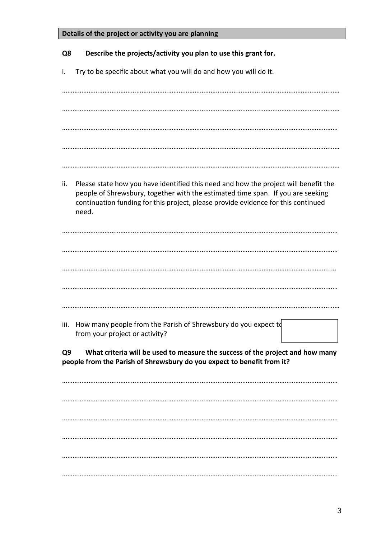| Details of the project or activity you are planning                                                                                                                                                                                                                         |
|-----------------------------------------------------------------------------------------------------------------------------------------------------------------------------------------------------------------------------------------------------------------------------|
| Describe the projects/activity you plan to use this grant for.<br>Q8                                                                                                                                                                                                        |
| Try to be specific about what you will do and how you will do it.<br>i.                                                                                                                                                                                                     |
|                                                                                                                                                                                                                                                                             |
|                                                                                                                                                                                                                                                                             |
|                                                                                                                                                                                                                                                                             |
|                                                                                                                                                                                                                                                                             |
|                                                                                                                                                                                                                                                                             |
| ii.<br>Please state how you have identified this need and how the project will benefit the<br>people of Shrewsbury, together with the estimated time span. If you are seeking<br>continuation funding for this project, please provide evidence for this continued<br>need. |
|                                                                                                                                                                                                                                                                             |
|                                                                                                                                                                                                                                                                             |
|                                                                                                                                                                                                                                                                             |
|                                                                                                                                                                                                                                                                             |
|                                                                                                                                                                                                                                                                             |
| How many people from the Parish of Shrewsbury do you expect to<br>iii.<br>from your project or activity?                                                                                                                                                                    |
| What criteria will be used to measure the success of the project and how many<br>Q <sub>9</sub><br>people from the Parish of Shrewsbury do you expect to benefit from it?                                                                                                   |
|                                                                                                                                                                                                                                                                             |
|                                                                                                                                                                                                                                                                             |
|                                                                                                                                                                                                                                                                             |
|                                                                                                                                                                                                                                                                             |
|                                                                                                                                                                                                                                                                             |
|                                                                                                                                                                                                                                                                             |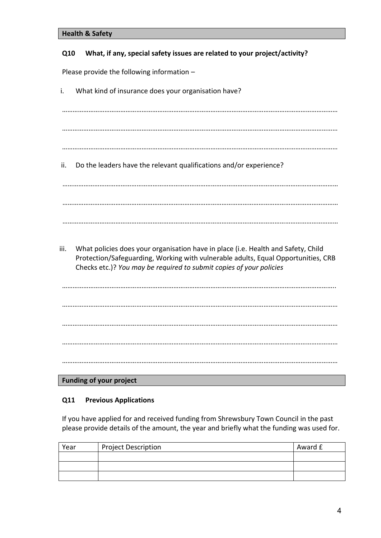| <b>Health &amp; Safety</b> |  |  |
|----------------------------|--|--|
|----------------------------|--|--|

## **Q10 What, if any, special safety issues are related to your project/activity?**

Please provide the following information –

i. What kind of insurance does your organisation have?

…………………………………………………………………………………………………………………………………………

…………………………………………………………………………………………………………………………………………

- …………………………………………………………………………………………………………………………………………
- ii. Do the leaders have the relevant qualifications and/or experience?

…………………………………………………………………………………………………………………………………………

…………………………………………………………………………………………………………………………………………

- …………………………………………………………………………………………………………………………………………
- iii. What policies does your organisation have in place (i.e. Health and Safety, Child Protection/Safeguarding, Working with vulnerable adults, Equal Opportunities, CRB Checks etc.)? *You may be required to submit copies of your policies*

……………………………………………………………………………………………………………………………………….. ………………………………………………………………………………………………………………………………………… ………………………………………………………………………………………………………………………………………… ………………………………………………………………………………………………………………………………………… …………………………………………………………………………………………………………………………………………

**Funding of your project**

## **Q11 Previous Applications**

If you have applied for and received funding from Shrewsbury Town Council in the past please provide details of the amount, the year and briefly what the funding was used for.

| Year | <b>Project Description</b> | Award £ |
|------|----------------------------|---------|
|      |                            |         |
|      |                            |         |
|      |                            |         |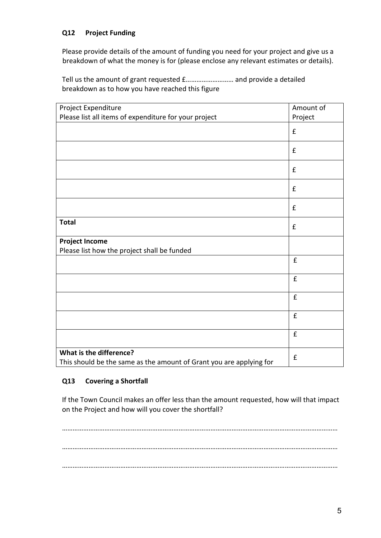# **Q12 Project Funding**

Please provide details of the amount of funding you need for your project and give us a breakdown of what the money is for (please enclose any relevant estimates or details).

Tell us the amount of grant requested £……………………… and provide a detailed breakdown as to how you have reached this figure

| Project Expenditure                                                                            | Amount of          |
|------------------------------------------------------------------------------------------------|--------------------|
| Please list all items of expenditure for your project                                          | Project            |
|                                                                                                | $\pmb{\mathsf{f}}$ |
|                                                                                                | £                  |
|                                                                                                | £                  |
|                                                                                                | $\pmb{\mathsf{f}}$ |
|                                                                                                | £                  |
| <b>Total</b>                                                                                   | $\pmb{\mathsf{f}}$ |
| <b>Project Income</b>                                                                          |                    |
| Please list how the project shall be funded                                                    |                    |
|                                                                                                | £                  |
|                                                                                                | $\hat{\mathbf{E}}$ |
|                                                                                                | £                  |
|                                                                                                | £                  |
|                                                                                                | $\pmb{\mathsf{f}}$ |
| What is the difference?<br>This should be the same as the amount of Grant you are applying for | $\pmb{\mathsf{f}}$ |

## **Q13 Covering a Shortfall**

If the Town Council makes an offer less than the amount requested, how will that impact on the Project and how will you cover the shortfall?

………………………………………………………………………………………………………………………………………… ………………………………………………………………………………………………………………………………………… …………………………………………………………………………………………………………………………………………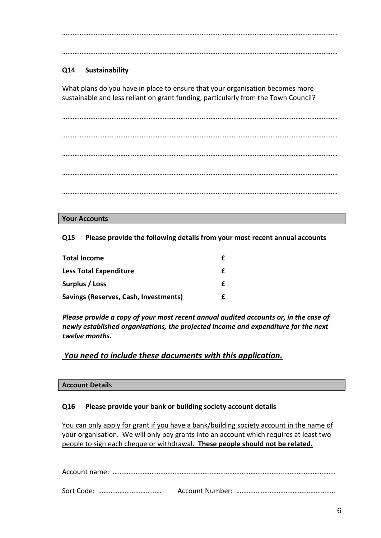…………………………………………………………………………………………………………………………………………

…………………………………………………………………………………………………………………………………………

# **Q14 Sustainability**

What plans do you have in place to ensure that your organisation becomes more sustainable and less reliant on grant funding, particularly from the Town Council?

………………………………………………………………………………………………………………………………………… ………………………………………………………………………………………………………………………………………… ………………………………………………………………………………………………………………………………………… ………………………………………………………………………………………………………………………………………… …………………………………………………………………………………………………………………………………………

#### **Your Accounts**

**Q15 Please provide the following details from your most recent annual accounts**

| <b>Total Income</b>                   |  |
|---------------------------------------|--|
| <b>Less Total Expenditure</b>         |  |
| Surplus / Loss                        |  |
| Savings (Reserves, Cash, Investments) |  |

*Please provide a copy of your most recent annual audited accounts or, in the case of newly established organisations, the projected income and expenditure for the next twelve months.*

*You need to include these documents with this application.*

#### **Account Details**

#### **Q16 Please provide your bank or building society account details**

You can only apply for grant if you have a bank/building society account in the name of your organisation. We will only pay grants into an account which requires at least two people to sign each cheque or withdrawal. **These people should not be related.**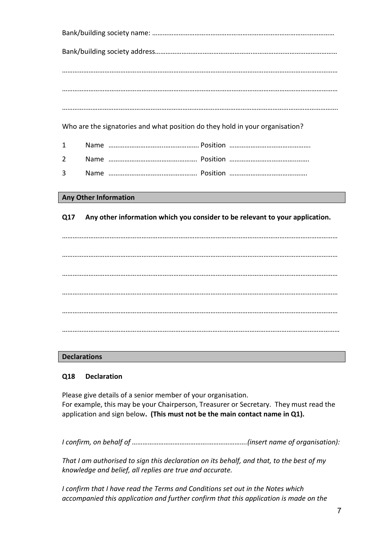Bank/building society name: …………………………………………………………………………….…………… Bank/building society address……………………………………………….………………………………………… ………………………………………………………………………………………………………………………………………… ………………………………………………………………………………………………………………………………………… …………..……………………………………………………………………………………………………………………………. Who are the signatories and what position do they hold in your organisation? 1 Name …………………………..………………. Position ………………………………………. 2 Name ………………………………….………. Position ………………………………..……. 3 Name ………………………….………………. Position ……………………………….…….

#### **Any Other Information**

**Q17 Any other information which you consider to be relevant to your application.**

………………………………………………………………………………………………………………………………………… ………………………………………………………………………………………………………………………………………… ………………………………………………………………………………………………………………………………………… ………………………………………………………………………………………………………………………………………… ………………………………………………………………………………………………………………………………………… …………………………………………………….……………………………………………………………………………………

#### **Declarations**

#### **Q18 Declaration**

Please give details of a senior member of your organisation. For example, this may be your Chairperson, Treasurer or Secretary. They must read the application and sign below**. (This must not be the main contact name in Q1).**

*I confirm, on behalf of …………………………………….………………….(insert name of organisation):*

*That I am authorised to sign this declaration on its behalf, and that, to the best of my knowledge and belief, all replies are true and accurate.*

*I confirm that I have read the Terms and Conditions set out in the Notes which accompanied this application and further confirm that this application is made on the*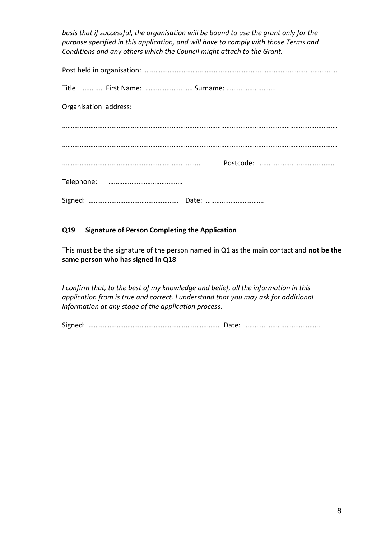*basis that if successful, the organisation will be bound to use the grant only for the purpose specified in this application, and will have to comply with those Terms and Conditions and any others which the Council might attach to the Grant.* 

| Title  First Name:  Surname: |
|------------------------------|
| Organisation address:        |
|                              |
|                              |
|                              |
|                              |
|                              |

# **Q19 Signature of Person Completing the Application**

This must be the signature of the person named in Q1 as the main contact and **not be the same person who has signed in Q18**

*I confirm that, to the best of my knowledge and belief, all the information in this application from is true and correct. I understand that you may ask for additional information at any stage of the application process.*

Signed: ……………………………………………….…………………Date: ……………………………………..